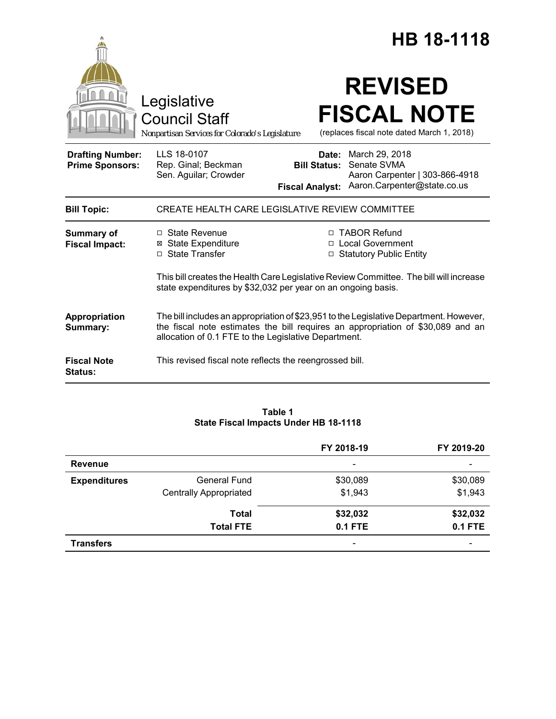|                                                   |                                                                                                                                                                                                                                   |                                                        | HB 18-1118                                                                                     |  |
|---------------------------------------------------|-----------------------------------------------------------------------------------------------------------------------------------------------------------------------------------------------------------------------------------|--------------------------------------------------------|------------------------------------------------------------------------------------------------|--|
|                                                   | Legislative<br><b>Council Staff</b><br>Nonpartisan Services for Colorado's Legislature                                                                                                                                            |                                                        | <b>REVISED</b><br><b>FISCAL NOTE</b><br>(replaces fiscal note dated March 1, 2018)             |  |
| <b>Drafting Number:</b><br><b>Prime Sponsors:</b> | LLS 18-0107<br>Rep. Ginal; Beckman<br>Sen. Aguilar; Crowder                                                                                                                                                                       | Date:<br><b>Bill Status:</b><br><b>Fiscal Analyst:</b> | March 29, 2018<br>Senate SVMA<br>Aaron Carpenter   303-866-4918<br>Aaron.Carpenter@state.co.us |  |
| <b>Bill Topic:</b>                                | CREATE HEALTH CARE LEGISLATIVE REVIEW COMMITTEE                                                                                                                                                                                   |                                                        |                                                                                                |  |
| <b>Summary of</b><br><b>Fiscal Impact:</b>        | $\Box$ State Revenue<br><b>⊠ State Expenditure</b><br>□ State Transfer                                                                                                                                                            |                                                        | □ TABOR Refund<br>□ Local Government<br>□ Statutory Public Entity                              |  |
|                                                   | This bill creates the Health Care Legislative Review Committee. The bill will increase<br>state expenditures by \$32,032 per year on an ongoing basis.                                                                            |                                                        |                                                                                                |  |
| Appropriation<br>Summary:                         | The bill includes an appropriation of \$23,951 to the Legislative Department. However,<br>the fiscal note estimates the bill requires an appropriation of \$30,089 and an<br>allocation of 0.1 FTE to the Legislative Department. |                                                        |                                                                                                |  |
| <b>Fiscal Note</b><br><b>Status:</b>              | This revised fiscal note reflects the reengrossed bill.                                                                                                                                                                           |                                                        |                                                                                                |  |

# **Table 1 State Fiscal Impacts Under HB 18-1118**

|                     |                               | FY 2018-19                   | FY 2019-20               |
|---------------------|-------------------------------|------------------------------|--------------------------|
| Revenue             |                               | $\overline{\phantom{a}}$     | $\overline{\phantom{a}}$ |
| <b>Expenditures</b> | <b>General Fund</b>           | \$30,089                     | \$30,089                 |
|                     | <b>Centrally Appropriated</b> | \$1,943                      | \$1,943                  |
|                     | <b>Total</b>                  | \$32,032                     | \$32,032                 |
|                     | <b>Total FTE</b>              | <b>0.1 FTE</b>               | <b>0.1 FTE</b>           |
| <b>Transfers</b>    |                               | $\qquad \qquad \blacksquare$ | -                        |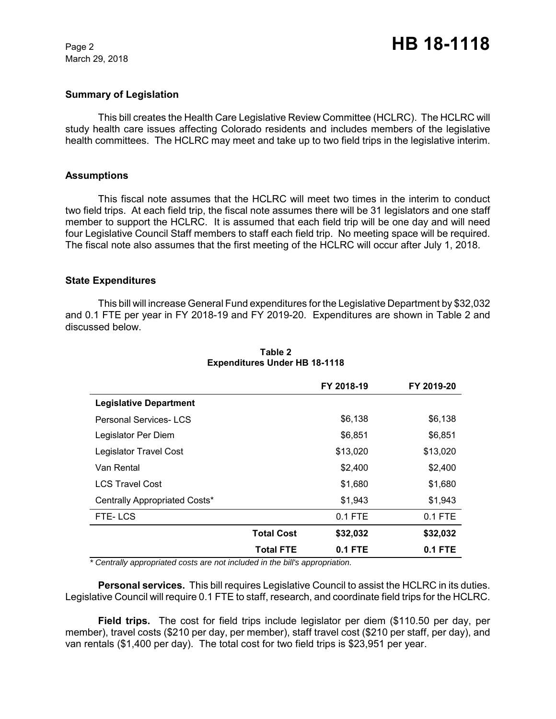March 29, 2018

### **Summary of Legislation**

This bill creates the Health Care Legislative Review Committee (HCLRC). The HCLRC will study health care issues affecting Colorado residents and includes members of the legislative health committees. The HCLRC may meet and take up to two field trips in the legislative interim.

#### **Assumptions**

This fiscal note assumes that the HCLRC will meet two times in the interim to conduct two field trips. At each field trip, the fiscal note assumes there will be 31 legislators and one staff member to support the HCLRC. It is assumed that each field trip will be one day and will need four Legislative Council Staff members to staff each field trip. No meeting space will be required. The fiscal note also assumes that the first meeting of the HCLRC will occur after July 1, 2018.

#### **State Expenditures**

This bill will increase General Fund expenditures for the Legislative Department by \$32,032 and 0.1 FTE per year in FY 2018-19 and FY 2019-20. Expenditures are shown in Table 2 and discussed below.

|                               |                   | FY 2018-19 | FY 2019-20 |
|-------------------------------|-------------------|------------|------------|
| <b>Legislative Department</b> |                   |            |            |
| <b>Personal Services-LCS</b>  |                   | \$6,138    | \$6,138    |
| Legislator Per Diem           |                   | \$6,851    | \$6,851    |
| Legislator Travel Cost        |                   | \$13,020   | \$13,020   |
| Van Rental                    |                   | \$2,400    | \$2,400    |
| <b>LCS Travel Cost</b>        |                   | \$1,680    | \$1,680    |
| Centrally Appropriated Costs* |                   | \$1,943    | \$1,943    |
| FTE-LCS                       |                   | $0.1$ FTE  | $0.1$ FTE  |
|                               | <b>Total Cost</b> | \$32,032   | \$32,032   |
|                               | Total FTE         | $0.1$ FTE  | 0.1 FTE    |

### **Table 2 Expenditures Under HB 18-1118**

*\* Centrally appropriated costs are not included in the bill's appropriation.*

**Personal services.** This bill requires Legislative Council to assist the HCLRC in its duties. Legislative Council will require 0.1 FTE to staff, research, and coordinate field trips for the HCLRC.

**Field trips.** The cost for field trips include legislator per diem (\$110.50 per day, per member), travel costs (\$210 per day, per member), staff travel cost (\$210 per staff, per day), and van rentals (\$1,400 per day). The total cost for two field trips is \$23,951 per year.